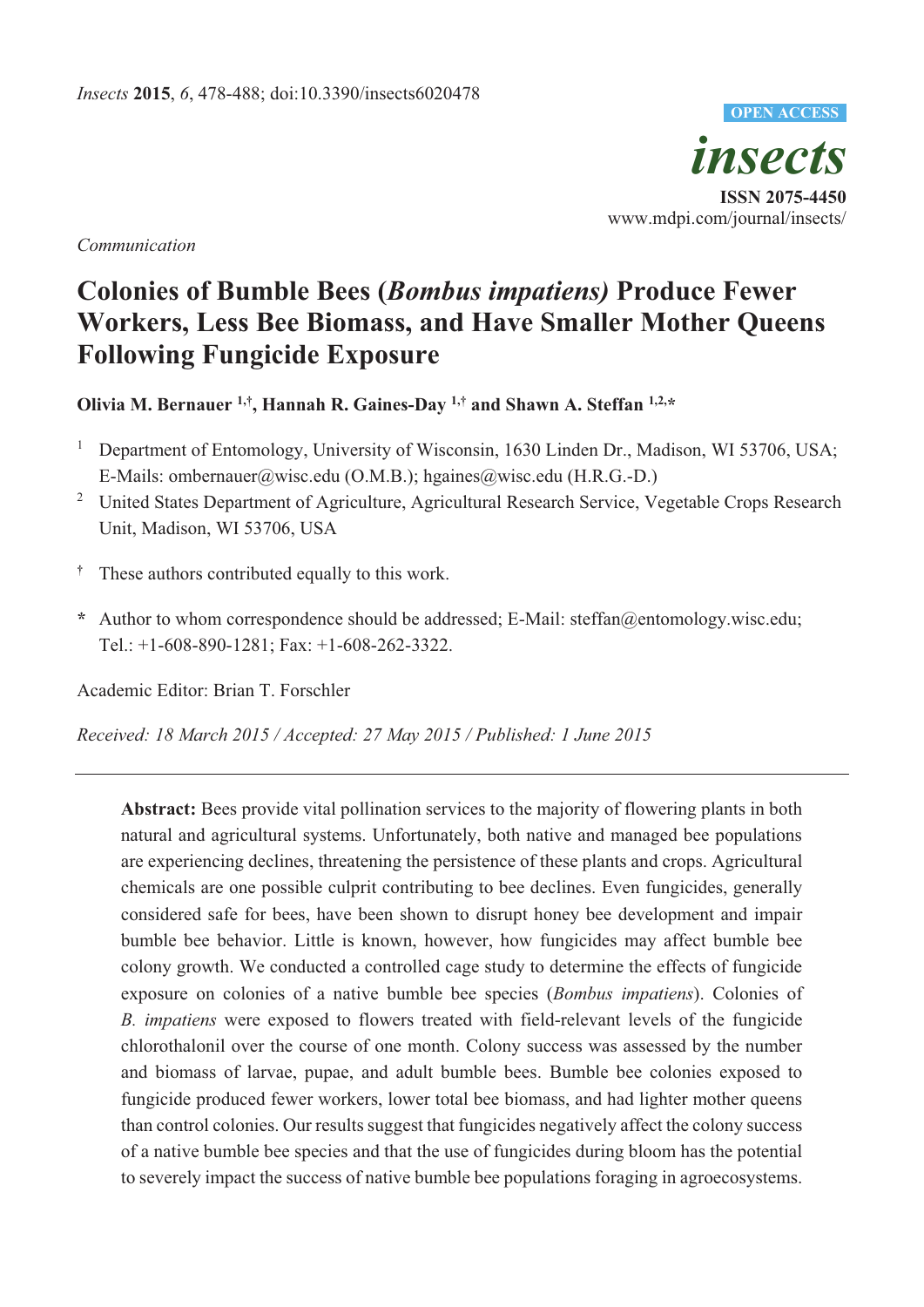*insects*  **ISSN 2075-4450**  www.mdpi.com/journal/insects/ **OPEN ACCESS**

*Communication* 

# **Colonies of Bumble Bees (***Bombus impatiens)* **Produce Fewer Workers, Less Bee Biomass, and Have Smaller Mother Queens Following Fungicide Exposure**

**Olivia M. Bernauer 1,† , Hannah R. Gaines-Day 1,† and Shawn A. Steffan 1,2,\*** 

- 1 Department of Entomology, University of Wisconsin, 1630 Linden Dr., Madison, WI 53706, USA; E-Mails: ombernauer@wisc.edu (O.M.B.); hgaines@wisc.edu (H.R.G.-D.)
- <sup>2</sup> United States Department of Agriculture, Agricultural Research Service, Vegetable Crops Research Unit, Madison, WI 53706, USA
- **†** These authors contributed equally to this work.
- **\*** Author to whom correspondence should be addressed; E-Mail: steffan@entomology.wisc.edu; Tel.: +1-608-890-1281; Fax: +1-608-262-3322.

Academic Editor: Brian T. Forschler

*Received: 18 March 2015 / Accepted: 27 May 2015 / Published: 1 June 2015* 

**Abstract:** Bees provide vital pollination services to the majority of flowering plants in both natural and agricultural systems. Unfortunately, both native and managed bee populations are experiencing declines, threatening the persistence of these plants and crops. Agricultural chemicals are one possible culprit contributing to bee declines. Even fungicides, generally considered safe for bees, have been shown to disrupt honey bee development and impair bumble bee behavior. Little is known, however, how fungicides may affect bumble bee colony growth. We conducted a controlled cage study to determine the effects of fungicide exposure on colonies of a native bumble bee species (*Bombus impatiens*). Colonies of *B. impatiens* were exposed to flowers treated with field-relevant levels of the fungicide chlorothalonil over the course of one month. Colony success was assessed by the number and biomass of larvae, pupae, and adult bumble bees. Bumble bee colonies exposed to fungicide produced fewer workers, lower total bee biomass, and had lighter mother queens than control colonies. Our results suggest that fungicides negatively affect the colony success of a native bumble bee species and that the use of fungicides during bloom has the potential to severely impact the success of native bumble bee populations foraging in agroecosystems.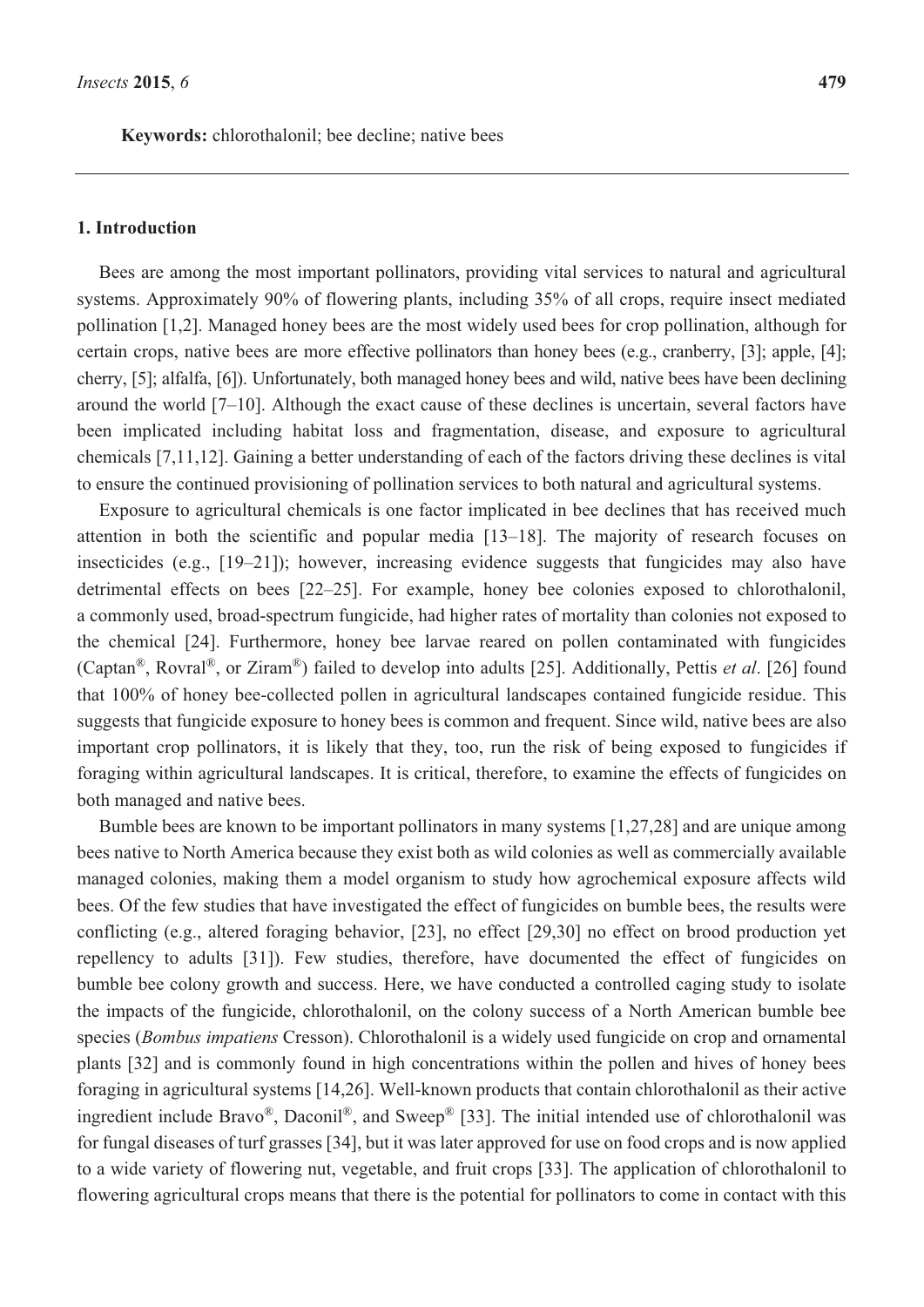**Keywords:** chlorothalonil; bee decline; native bees

# **1. Introduction**

Bees are among the most important pollinators, providing vital services to natural and agricultural systems. Approximately 90% of flowering plants, including 35% of all crops, require insect mediated pollination [1,2]. Managed honey bees are the most widely used bees for crop pollination, although for certain crops, native bees are more effective pollinators than honey bees (e.g., cranberry, [3]; apple, [4]; cherry, [5]; alfalfa, [6]). Unfortunately, both managed honey bees and wild, native bees have been declining around the world [7–10]. Although the exact cause of these declines is uncertain, several factors have been implicated including habitat loss and fragmentation, disease, and exposure to agricultural chemicals [7,11,12]. Gaining a better understanding of each of the factors driving these declines is vital to ensure the continued provisioning of pollination services to both natural and agricultural systems.

Exposure to agricultural chemicals is one factor implicated in bee declines that has received much attention in both the scientific and popular media [13–18]. The majority of research focuses on insecticides (e.g., [19–21]); however, increasing evidence suggests that fungicides may also have detrimental effects on bees [22–25]. For example, honey bee colonies exposed to chlorothalonil, a commonly used, broad-spectrum fungicide, had higher rates of mortality than colonies not exposed to the chemical [24]. Furthermore, honey bee larvae reared on pollen contaminated with fungicides (Captan®, Rovral®, or Ziram®) failed to develop into adults [25]. Additionally, Pettis *et al*. [26] found that 100% of honey bee-collected pollen in agricultural landscapes contained fungicide residue. This suggests that fungicide exposure to honey bees is common and frequent. Since wild, native bees are also important crop pollinators, it is likely that they, too, run the risk of being exposed to fungicides if foraging within agricultural landscapes. It is critical, therefore, to examine the effects of fungicides on both managed and native bees.

Bumble bees are known to be important pollinators in many systems [1,27,28] and are unique among bees native to North America because they exist both as wild colonies as well as commercially available managed colonies, making them a model organism to study how agrochemical exposure affects wild bees. Of the few studies that have investigated the effect of fungicides on bumble bees, the results were conflicting (e.g., altered foraging behavior, [23], no effect [29,30] no effect on brood production yet repellency to adults [31]). Few studies, therefore, have documented the effect of fungicides on bumble bee colony growth and success. Here, we have conducted a controlled caging study to isolate the impacts of the fungicide, chlorothalonil, on the colony success of a North American bumble bee species (*Bombus impatiens* Cresson). Chlorothalonil is a widely used fungicide on crop and ornamental plants [32] and is commonly found in high concentrations within the pollen and hives of honey bees foraging in agricultural systems [14,26]. Well-known products that contain chlorothalonil as their active ingredient include Bravo®, Daconil®, and Sweep® [33]. The initial intended use of chlorothalonil was for fungal diseases of turf grasses [34], but it was later approved for use on food crops and is now applied to a wide variety of flowering nut, vegetable, and fruit crops [33]. The application of chlorothalonil to flowering agricultural crops means that there is the potential for pollinators to come in contact with this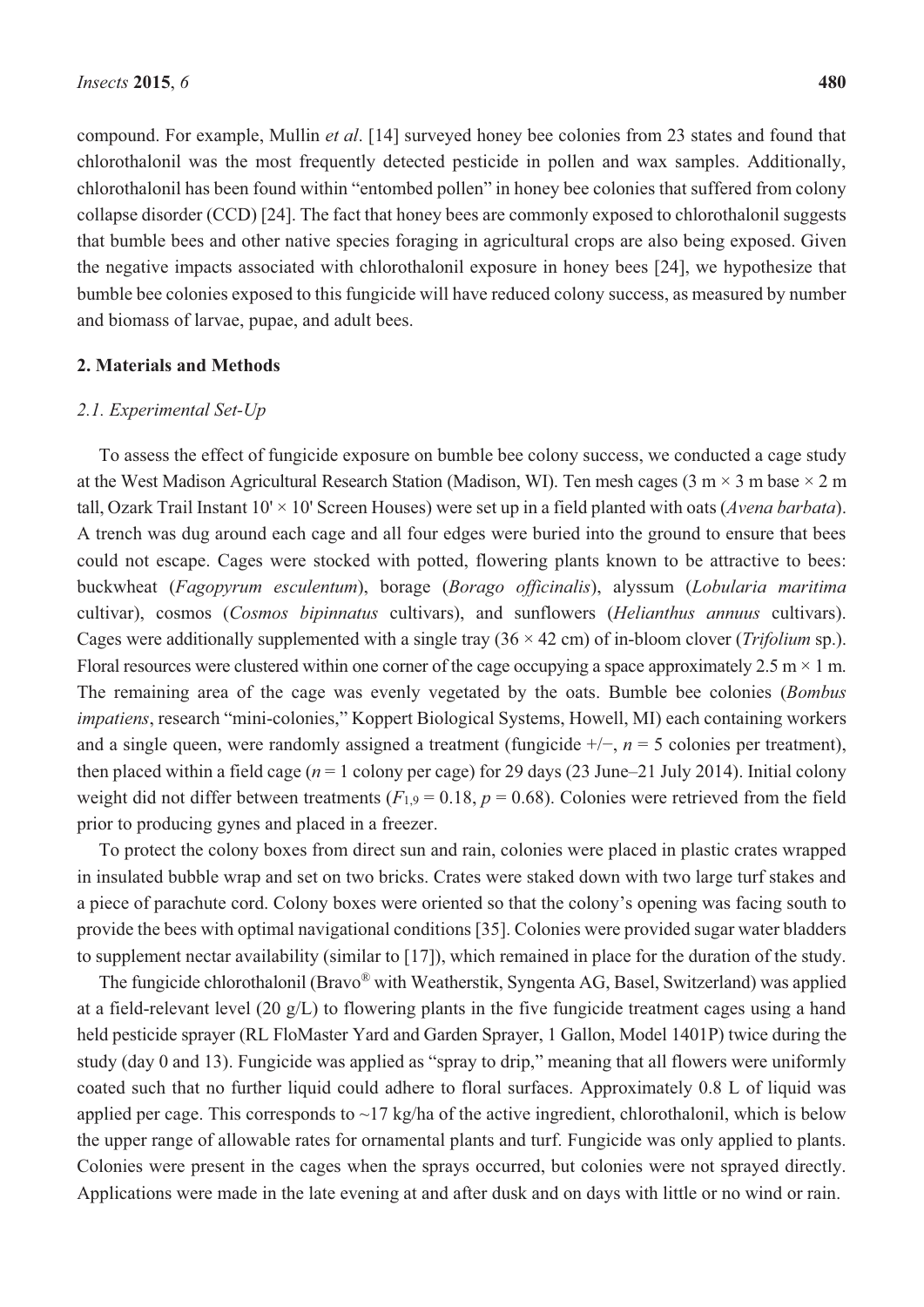compound. For example, Mullin *et al*. [14] surveyed honey bee colonies from 23 states and found that chlorothalonil was the most frequently detected pesticide in pollen and wax samples. Additionally, chlorothalonil has been found within "entombed pollen" in honey bee colonies that suffered from colony collapse disorder (CCD) [24]. The fact that honey bees are commonly exposed to chlorothalonil suggests that bumble bees and other native species foraging in agricultural crops are also being exposed. Given the negative impacts associated with chlorothalonil exposure in honey bees [24], we hypothesize that bumble bee colonies exposed to this fungicide will have reduced colony success, as measured by number and biomass of larvae, pupae, and adult bees.

## **2. Materials and Methods**

# *2.1. Experimental Set-Up*

To assess the effect of fungicide exposure on bumble bee colony success, we conducted a cage study at the West Madison Agricultural Research Station (Madison, WI). Ten mesh cages (3 m  $\times$  3 m base  $\times$  2 m tall, Ozark Trail Instant 10' × 10' Screen Houses) were set up in a field planted with oats (*Avena barbata*). A trench was dug around each cage and all four edges were buried into the ground to ensure that bees could not escape. Cages were stocked with potted, flowering plants known to be attractive to bees: buckwheat (*Fagopyrum esculentum*), borage (*Borago officinalis*), alyssum (*Lobularia maritima*  cultivar), cosmos (*Cosmos bipinnatus* cultivars), and sunflowers (*Helianthus annuus* cultivars). Cages were additionally supplemented with a single tray (36 × 42 cm) of in-bloom clover (*Trifolium* sp.). Floral resources were clustered within one corner of the cage occupying a space approximately 2.5 m  $\times$  1 m. The remaining area of the cage was evenly vegetated by the oats. Bumble bee colonies (*Bombus impatiens*, research "mini-colonies," Koppert Biological Systems, Howell, MI) each containing workers and a single queen, were randomly assigned a treatment (fungicide +/−, *n* = 5 colonies per treatment), then placed within a field cage ( $n = 1$  colony per cage) for 29 days (23 June–21 July 2014). Initial colony weight did not differ between treatments ( $F_{1,9} = 0.18$ ,  $p = 0.68$ ). Colonies were retrieved from the field prior to producing gynes and placed in a freezer.

To protect the colony boxes from direct sun and rain, colonies were placed in plastic crates wrapped in insulated bubble wrap and set on two bricks. Crates were staked down with two large turf stakes and a piece of parachute cord. Colony boxes were oriented so that the colony's opening was facing south to provide the bees with optimal navigational conditions [35]. Colonies were provided sugar water bladders to supplement nectar availability (similar to [17]), which remained in place for the duration of the study.

The fungicide chlorothalonil (Bravo® with Weatherstik, Syngenta AG, Basel, Switzerland) was applied at a field-relevant level (20 g/L) to flowering plants in the five fungicide treatment cages using a hand held pesticide sprayer (RL FloMaster Yard and Garden Sprayer, 1 Gallon, Model 1401P) twice during the study (day 0 and 13). Fungicide was applied as "spray to drip," meaning that all flowers were uniformly coated such that no further liquid could adhere to floral surfaces. Approximately 0.8 L of liquid was applied per cage. This corresponds to  $\sim$ 17 kg/ha of the active ingredient, chlorothalonil, which is below the upper range of allowable rates for ornamental plants and turf. Fungicide was only applied to plants. Colonies were present in the cages when the sprays occurred, but colonies were not sprayed directly. Applications were made in the late evening at and after dusk and on days with little or no wind or rain.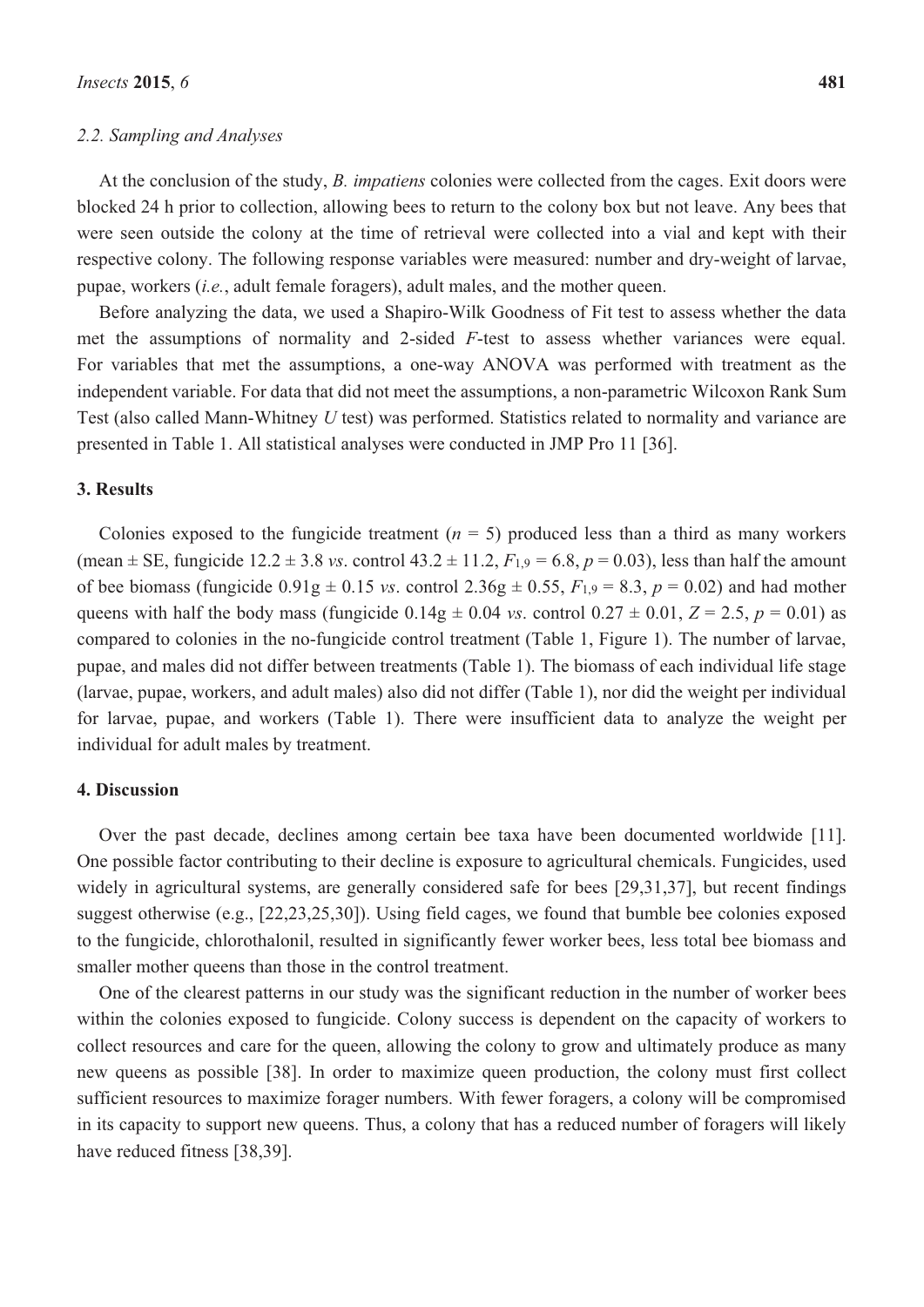# *2.2. Sampling and Analyses*

At the conclusion of the study, *B. impatiens* colonies were collected from the cages. Exit doors were blocked 24 h prior to collection, allowing bees to return to the colony box but not leave. Any bees that were seen outside the colony at the time of retrieval were collected into a vial and kept with their respective colony. The following response variables were measured: number and dry-weight of larvae, pupae, workers (*i.e.*, adult female foragers), adult males, and the mother queen.

Before analyzing the data, we used a Shapiro-Wilk Goodness of Fit test to assess whether the data met the assumptions of normality and 2-sided *F*-test to assess whether variances were equal. For variables that met the assumptions, a one-way ANOVA was performed with treatment as the independent variable. For data that did not meet the assumptions, a non-parametric Wilcoxon Rank Sum Test (also called Mann-Whitney *U* test) was performed. Statistics related to normality and variance are presented in Table 1. All statistical analyses were conducted in JMP Pro 11 [36].

# **3. Results**

Colonies exposed to the fungicide treatment  $(n = 5)$  produced less than a third as many workers (mean  $\pm$  SE, fungicide 12.2  $\pm$  3.8 *vs*. control 43.2  $\pm$  11.2,  $F_{1,9}$  = 6.8,  $p$  = 0.03), less than half the amount of bee biomass (fungicide  $0.91g \pm 0.15$  *vs.* control  $2.36g \pm 0.55$ ,  $F_{1.9} = 8.3$ ,  $p = 0.02$ ) and had mother queens with half the body mass (fungicide  $0.14g \pm 0.04$  *vs.* control  $0.27 \pm 0.01$ ,  $Z = 2.5$ ,  $p = 0.01$ ) as compared to colonies in the no-fungicide control treatment (Table 1, Figure 1). The number of larvae, pupae, and males did not differ between treatments (Table 1). The biomass of each individual life stage (larvae, pupae, workers, and adult males) also did not differ (Table 1), nor did the weight per individual for larvae, pupae, and workers (Table 1). There were insufficient data to analyze the weight per individual for adult males by treatment.

# **4. Discussion**

Over the past decade, declines among certain bee taxa have been documented worldwide [11]. One possible factor contributing to their decline is exposure to agricultural chemicals. Fungicides, used widely in agricultural systems, are generally considered safe for bees [29,31,37], but recent findings suggest otherwise (e.g., [22,23,25,30]). Using field cages, we found that bumble bee colonies exposed to the fungicide, chlorothalonil, resulted in significantly fewer worker bees, less total bee biomass and smaller mother queens than those in the control treatment.

One of the clearest patterns in our study was the significant reduction in the number of worker bees within the colonies exposed to fungicide. Colony success is dependent on the capacity of workers to collect resources and care for the queen, allowing the colony to grow and ultimately produce as many new queens as possible [38]. In order to maximize queen production, the colony must first collect sufficient resources to maximize forager numbers. With fewer foragers, a colony will be compromised in its capacity to support new queens. Thus, a colony that has a reduced number of foragers will likely have reduced fitness [38,39].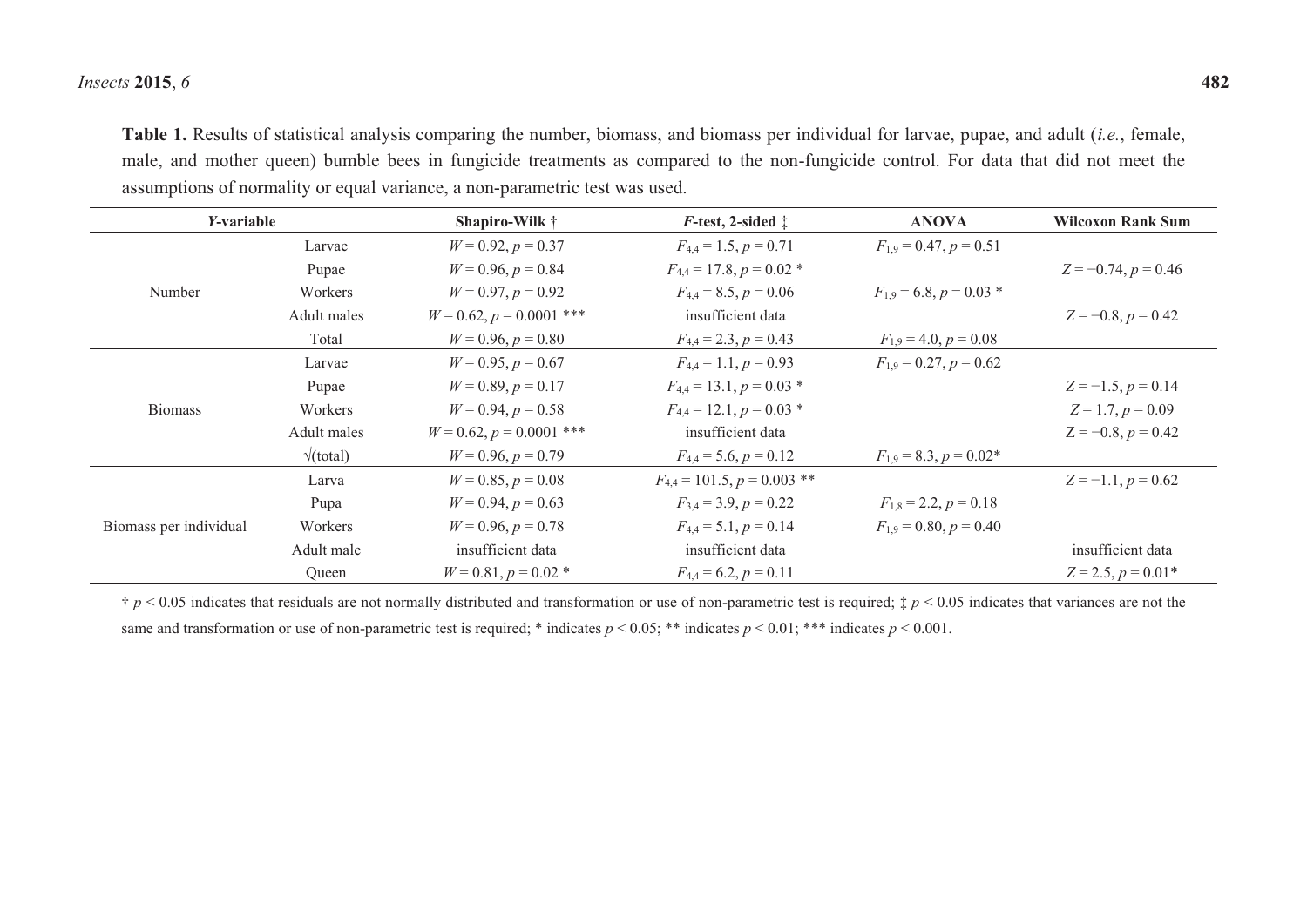#### *Insects* **2015**, *6* **482**

**Table 1.** Results of statistical analysis comparing the number, biomass, and biomass per individual for larvae, pupae, and adult (*i.e.*, female, male, and mother queen) bumble bees in fungicide treatments as compared to the non-fungicide control. For data that did not meet the assumptions of normality or equal variance, a non-parametric test was used.

| <i>Y</i> -variable     |                         | Shapiro-Wilk †                | $F$ -test, 2-sided $\ddagger$   | <b>ANOVA</b>                | <b>Wilcoxon Rank Sum</b> |
|------------------------|-------------------------|-------------------------------|---------------------------------|-----------------------------|--------------------------|
| Number                 | Larvae                  | $W = 0.92, p = 0.37$          | $F_{4,4} = 1.5, p = 0.71$       | $F_{1,9} = 0.47, p = 0.51$  |                          |
|                        | Pupae                   | $W = 0.96, p = 0.84$          | $F_{4,4} = 17.8, p = 0.02$ *    |                             | $Z = -0.74$ , $p = 0.46$ |
|                        | Workers                 | $W = 0.97, p = 0.92$          | $F_{4,4} = 8.5, p = 0.06$       | $F_{1,9} = 6.8, p = 0.03$ * |                          |
|                        | Adult males             | $W = 0.62$ , $p = 0.0001$ *** | insufficient data               |                             | $Z = -0.8, p = 0.42$     |
|                        | Total                   | $W = 0.96, p = 0.80$          | $F_{4,4} = 2.3, p = 0.43$       | $F_{1,9} = 4.0, p = 0.08$   |                          |
| <b>Biomass</b>         | Larvae                  | $W = 0.95, p = 0.67$          | $F_{4,4} = 1.1, p = 0.93$       | $F_{1,9} = 0.27, p = 0.62$  |                          |
|                        | Pupae                   | $W = 0.89, p = 0.17$          | $F_{4,4} = 13.1, p = 0.03$ *    |                             | $Z = -1.5, p = 0.14$     |
|                        | Workers                 | $W = 0.94, p = 0.58$          | $F_{4,4} = 12.1, p = 0.03$ *    |                             | $Z = 1.7, p = 0.09$      |
|                        | Adult males             | $W = 0.62$ , $p = 0.0001$ *** | insufficient data               |                             | $Z = -0.8, p = 0.42$     |
|                        | $\sqrt{\text{(total)}}$ | $W = 0.96, p = 0.79$          | $F_{4,4} = 5.6, p = 0.12$       | $F_{1,9} = 8.3, p = 0.02*$  |                          |
| Biomass per individual | Larva                   | $W = 0.85, p = 0.08$          | $F_{4,4} = 101.5, p = 0.003$ ** |                             | $Z = -1.1, p = 0.62$     |
|                        | Pupa                    | $W = 0.94, p = 0.63$          | $F_{3,4} = 3.9, p = 0.22$       | $F_{1,8} = 2.2, p = 0.18$   |                          |
|                        | Workers                 | $W = 0.96, p = 0.78$          | $F_{4,4} = 5.1, p = 0.14$       | $F_{1,9} = 0.80, p = 0.40$  |                          |
|                        | Adult male              | insufficient data             | insufficient data               |                             | insufficient data        |
|                        | Queen                   | $W = 0.81, p = 0.02$ *        | $F_{4,4} = 6.2, p = 0.11$       |                             | $Z = 2.5, p = 0.01*$     |

† *p* < 0.05 indicates that residuals are not normally distributed and transformation or use of non-parametric test is required; ‡ *p* < 0.05 indicates that variances are not the same and transformation or use of non-parametric test is required; \* indicates  $p < 0.05$ ; \*\* indicates  $p < 0.01$ ; \*\*\* indicates  $p < 0.001$ .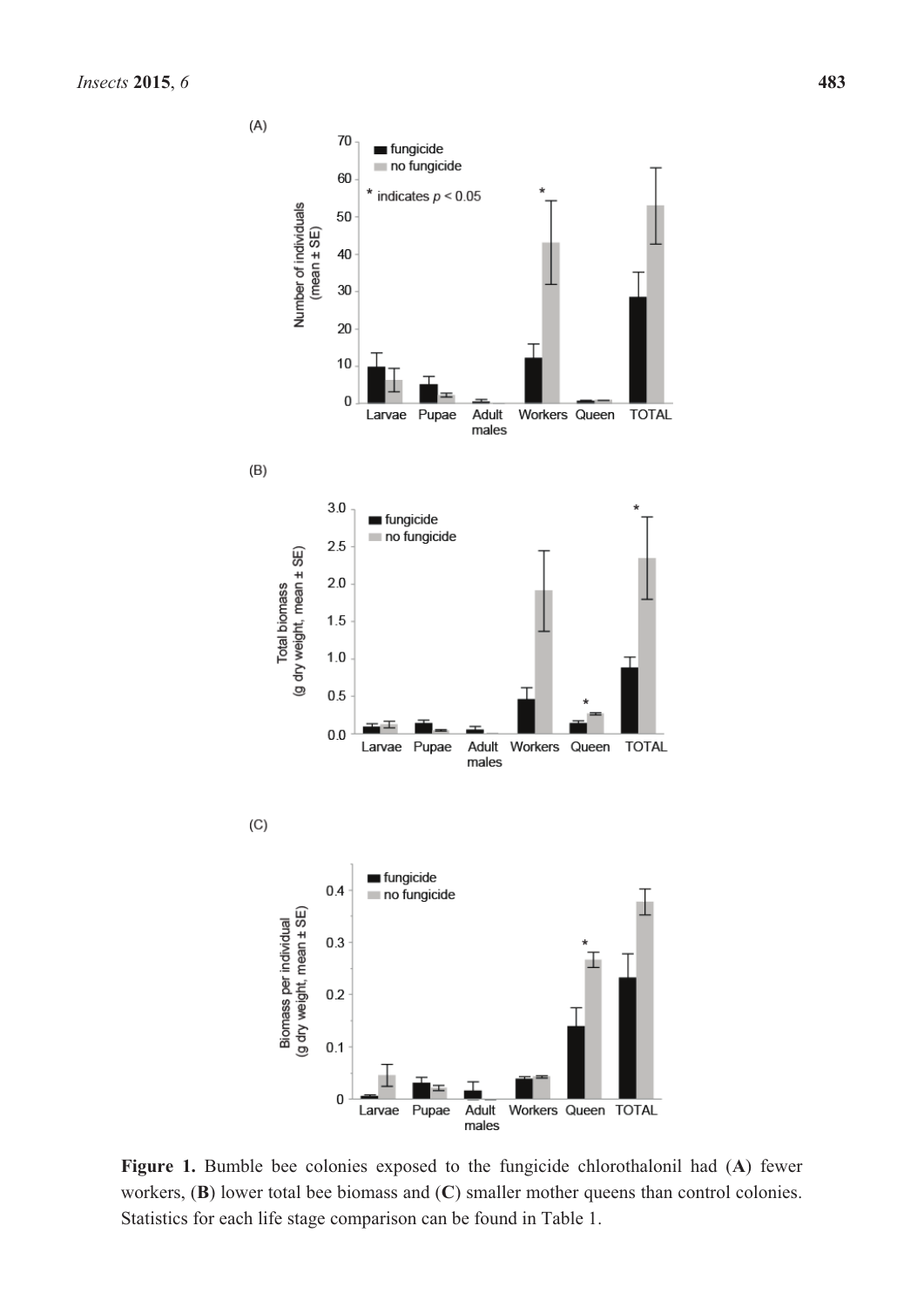

**Figure 1.** Bumble bee colonies exposed to the fungicide chlorothalonil had (**A**) fewer workers, (**B**) lower total bee biomass and (**C**) smaller mother queens than control colonies. Statistics for each life stage comparison can be found in Table 1.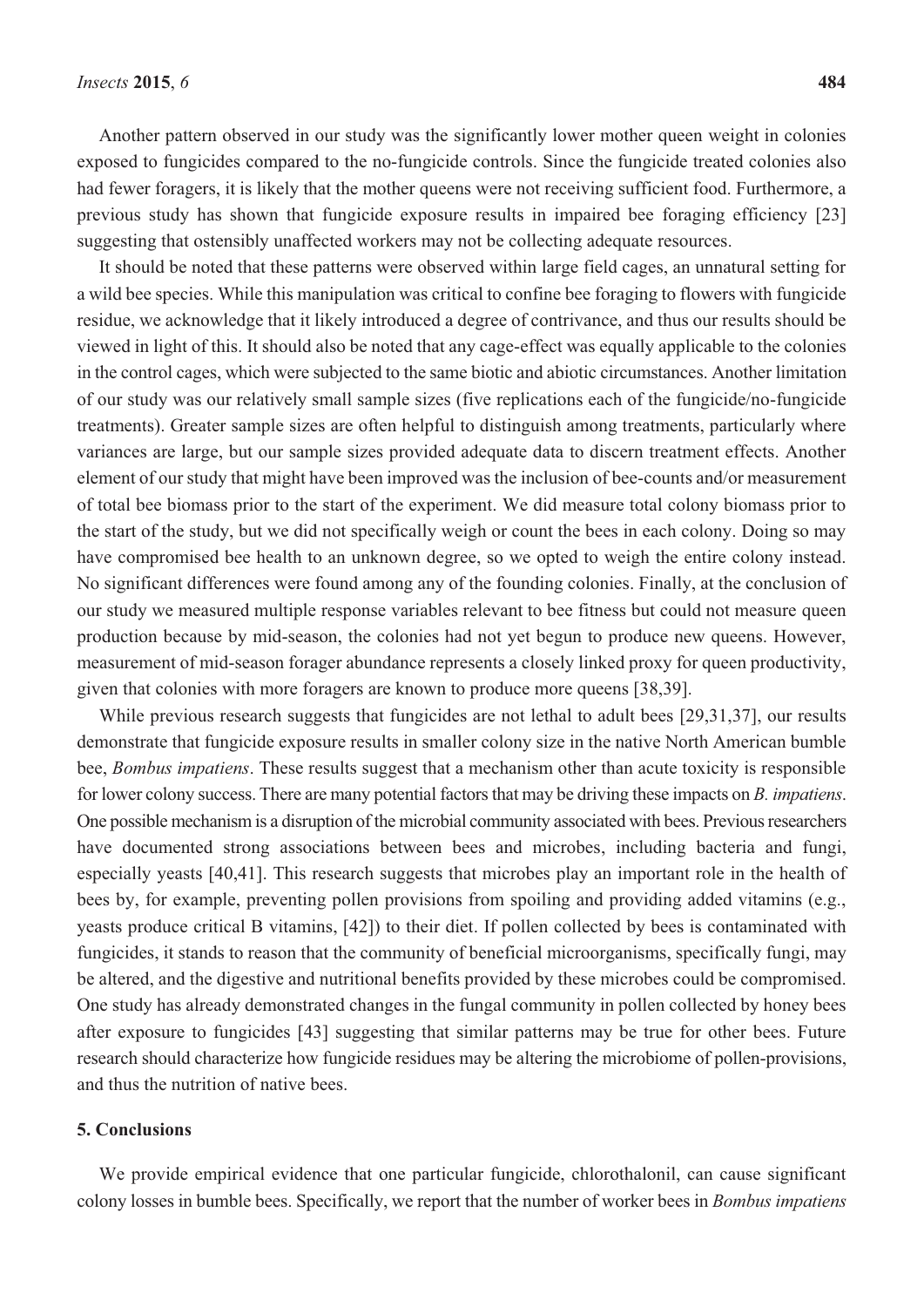Another pattern observed in our study was the significantly lower mother queen weight in colonies exposed to fungicides compared to the no-fungicide controls. Since the fungicide treated colonies also had fewer foragers, it is likely that the mother queens were not receiving sufficient food. Furthermore, a previous study has shown that fungicide exposure results in impaired bee foraging efficiency [23] suggesting that ostensibly unaffected workers may not be collecting adequate resources.

It should be noted that these patterns were observed within large field cages, an unnatural setting for a wild bee species. While this manipulation was critical to confine bee foraging to flowers with fungicide residue, we acknowledge that it likely introduced a degree of contrivance, and thus our results should be viewed in light of this. It should also be noted that any cage-effect was equally applicable to the colonies in the control cages, which were subjected to the same biotic and abiotic circumstances. Another limitation of our study was our relatively small sample sizes (five replications each of the fungicide/no-fungicide treatments). Greater sample sizes are often helpful to distinguish among treatments, particularly where variances are large, but our sample sizes provided adequate data to discern treatment effects. Another element of our study that might have been improved was the inclusion of bee-counts and/or measurement of total bee biomass prior to the start of the experiment. We did measure total colony biomass prior to the start of the study, but we did not specifically weigh or count the bees in each colony. Doing so may have compromised bee health to an unknown degree, so we opted to weigh the entire colony instead. No significant differences were found among any of the founding colonies. Finally, at the conclusion of our study we measured multiple response variables relevant to bee fitness but could not measure queen production because by mid-season, the colonies had not yet begun to produce new queens. However, measurement of mid-season forager abundance represents a closely linked proxy for queen productivity, given that colonies with more foragers are known to produce more queens [38,39].

While previous research suggests that fungicides are not lethal to adult bees [29,31,37], our results demonstrate that fungicide exposure results in smaller colony size in the native North American bumble bee, *Bombus impatiens*. These results suggest that a mechanism other than acute toxicity is responsible for lower colony success. There are many potential factors that may be driving these impacts on *B. impatiens*. One possible mechanism is a disruption of the microbial community associated with bees. Previous researchers have documented strong associations between bees and microbes, including bacteria and fungi, especially yeasts [40,41]. This research suggests that microbes play an important role in the health of bees by, for example, preventing pollen provisions from spoiling and providing added vitamins (e.g., yeasts produce critical B vitamins, [42]) to their diet. If pollen collected by bees is contaminated with fungicides, it stands to reason that the community of beneficial microorganisms, specifically fungi, may be altered, and the digestive and nutritional benefits provided by these microbes could be compromised. One study has already demonstrated changes in the fungal community in pollen collected by honey bees after exposure to fungicides [43] suggesting that similar patterns may be true for other bees. Future research should characterize how fungicide residues may be altering the microbiome of pollen-provisions, and thus the nutrition of native bees.

## **5. Conclusions**

We provide empirical evidence that one particular fungicide, chlorothalonil, can cause significant colony losses in bumble bees. Specifically, we report that the number of worker bees in *Bombus impatiens*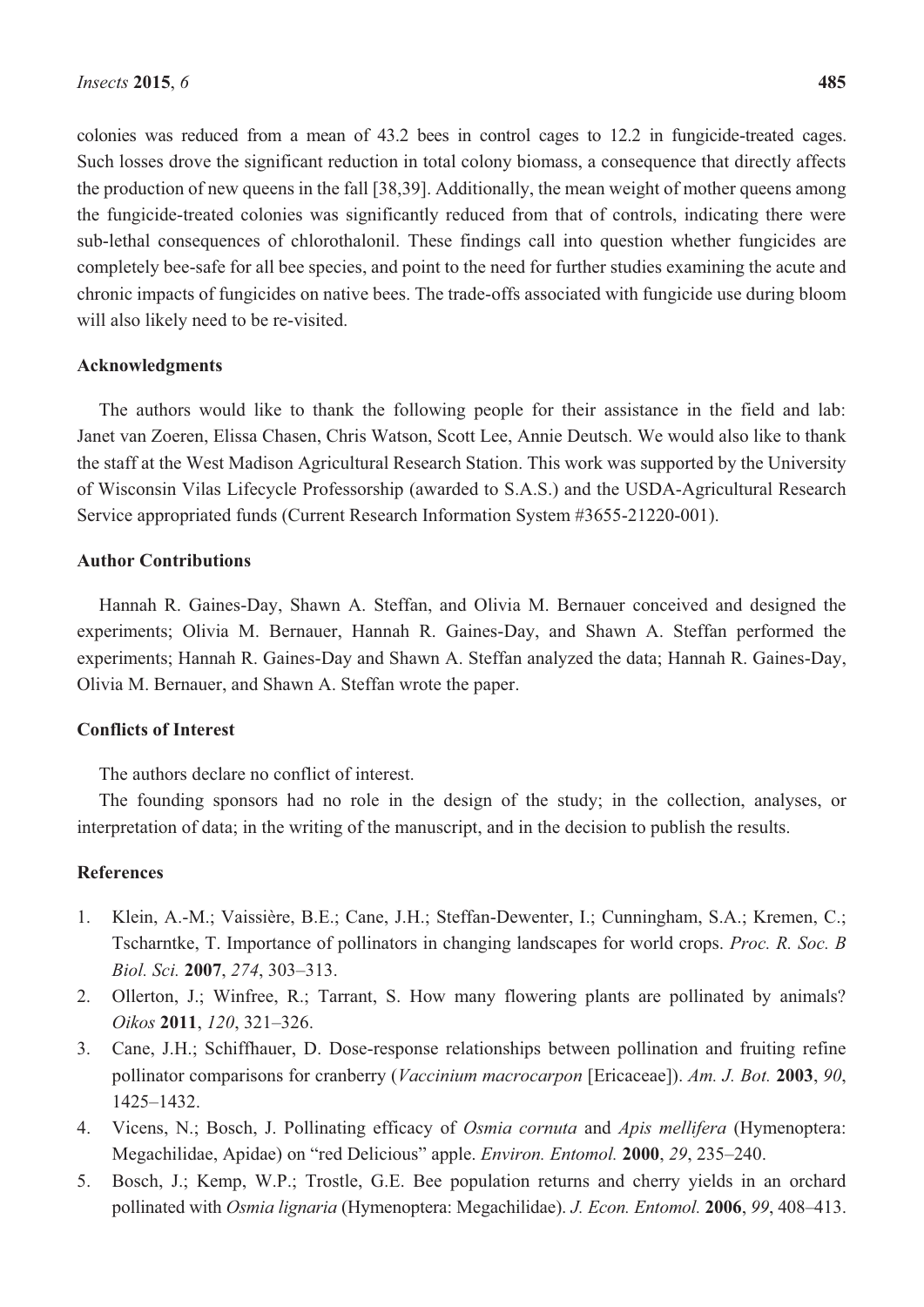colonies was reduced from a mean of 43.2 bees in control cages to 12.2 in fungicide-treated cages. Such losses drove the significant reduction in total colony biomass, a consequence that directly affects the production of new queens in the fall [38,39]. Additionally, the mean weight of mother queens among the fungicide-treated colonies was significantly reduced from that of controls, indicating there were sub-lethal consequences of chlorothalonil. These findings call into question whether fungicides are completely bee-safe for all bee species, and point to the need for further studies examining the acute and chronic impacts of fungicides on native bees. The trade-offs associated with fungicide use during bloom will also likely need to be re-visited.

## **Acknowledgments**

The authors would like to thank the following people for their assistance in the field and lab: Janet van Zoeren, Elissa Chasen, Chris Watson, Scott Lee, Annie Deutsch. We would also like to thank the staff at the West Madison Agricultural Research Station. This work was supported by the University of Wisconsin Vilas Lifecycle Professorship (awarded to S.A.S.) and the USDA-Agricultural Research Service appropriated funds (Current Research Information System #3655-21220-001).

## **Author Contributions**

Hannah R. Gaines-Day, Shawn A. Steffan, and Olivia M. Bernauer conceived and designed the experiments; Olivia M. Bernauer, Hannah R. Gaines-Day, and Shawn A. Steffan performed the experiments; Hannah R. Gaines-Day and Shawn A. Steffan analyzed the data; Hannah R. Gaines-Day, Olivia M. Bernauer, and Shawn A. Steffan wrote the paper.

# **Conflicts of Interest**

The authors declare no conflict of interest.

The founding sponsors had no role in the design of the study; in the collection, analyses, or interpretation of data; in the writing of the manuscript, and in the decision to publish the results.

## **References**

- 1. Klein, A.-M.; Vaissière, B.E.; Cane, J.H.; Steffan-Dewenter, I.; Cunningham, S.A.; Kremen, C.; Tscharntke, T. Importance of pollinators in changing landscapes for world crops. *Proc. R. Soc. B Biol. Sci.* **2007**, *274*, 303–313.
- 2. Ollerton, J.; Winfree, R.; Tarrant, S. How many flowering plants are pollinated by animals? *Oikos* **2011**, *120*, 321–326.
- 3. Cane, J.H.; Schiffhauer, D. Dose-response relationships between pollination and fruiting refine pollinator comparisons for cranberry (*Vaccinium macrocarpon* [Ericaceae]). *Am. J. Bot.* **2003**, *90*, 1425–1432.
- 4. Vicens, N.; Bosch, J. Pollinating efficacy of *Osmia cornuta* and *Apis mellifera* (Hymenoptera: Megachilidae, Apidae) on "red Delicious" apple. *Environ. Entomol.* **2000**, *29*, 235–240.
- 5. Bosch, J.; Kemp, W.P.; Trostle, G.E. Bee population returns and cherry yields in an orchard pollinated with *Osmia lignaria* (Hymenoptera: Megachilidae). *J. Econ. Entomol.* **2006**, *99*, 408–413.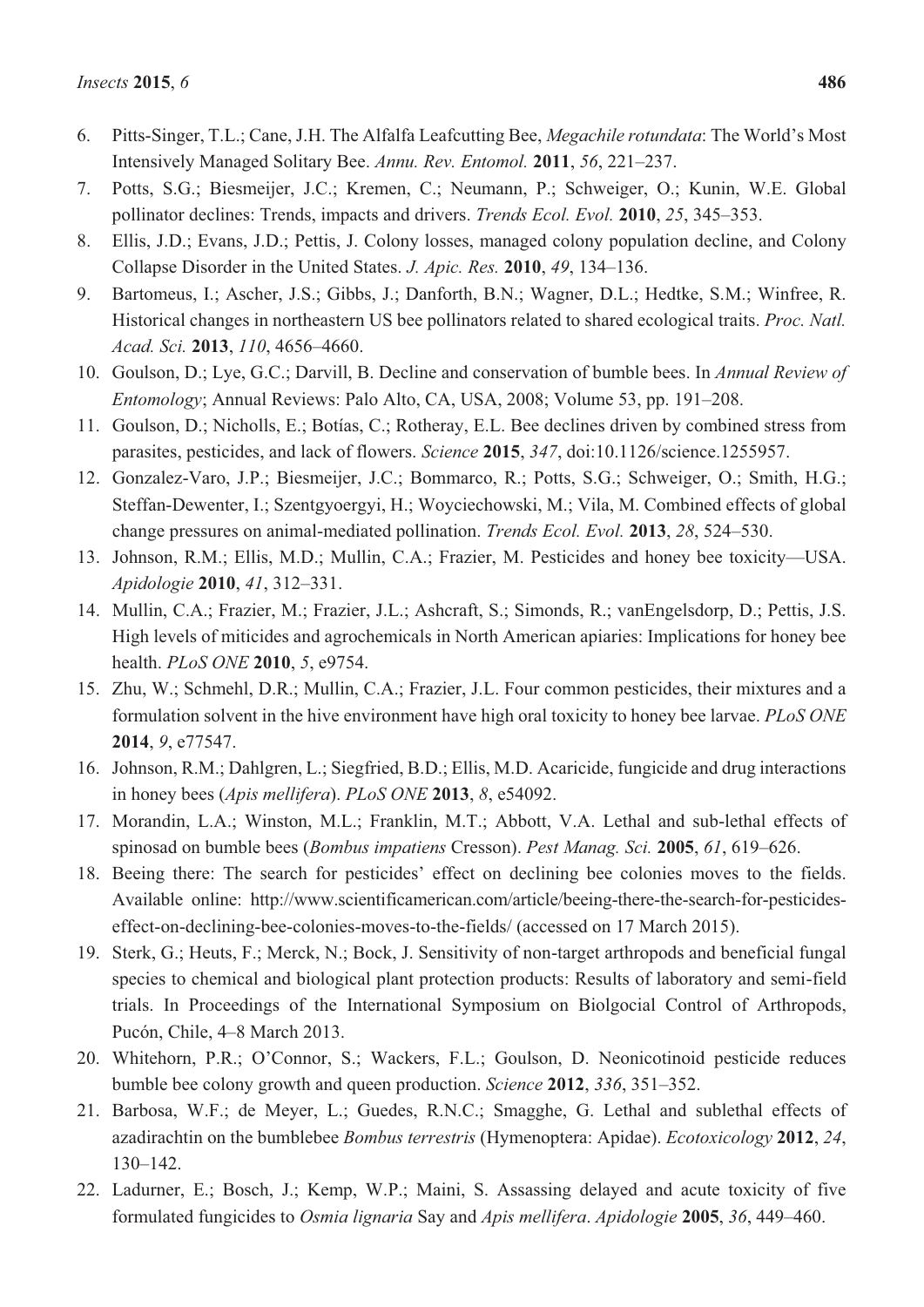- 6. Pitts-Singer, T.L.; Cane, J.H. The Alfalfa Leafcutting Bee, *Megachile rotundata*: The World's Most Intensively Managed Solitary Bee. *Annu. Rev. Entomol.* **2011**, *56*, 221–237.
- 7. Potts, S.G.; Biesmeijer, J.C.; Kremen, C.; Neumann, P.; Schweiger, O.; Kunin, W.E. Global pollinator declines: Trends, impacts and drivers. *Trends Ecol. Evol.* **2010**, *25*, 345–353.
- 8. Ellis, J.D.; Evans, J.D.; Pettis, J. Colony losses, managed colony population decline, and Colony Collapse Disorder in the United States. *J. Apic. Res.* **2010**, *49*, 134–136.
- 9. Bartomeus, I.; Ascher, J.S.; Gibbs, J.; Danforth, B.N.; Wagner, D.L.; Hedtke, S.M.; Winfree, R. Historical changes in northeastern US bee pollinators related to shared ecological traits. *Proc. Natl. Acad. Sci.* **2013**, *110*, 4656–4660.
- 10. Goulson, D.; Lye, G.C.; Darvill, B. Decline and conservation of bumble bees. In *Annual Review of Entomology*; Annual Reviews: Palo Alto, CA, USA, 2008; Volume 53, pp. 191–208.
- 11. Goulson, D.; Nicholls, E.; Botías, C.; Rotheray, E.L. Bee declines driven by combined stress from parasites, pesticides, and lack of flowers. *Science* **2015**, *347*, doi:10.1126/science.1255957.
- 12. Gonzalez-Varo, J.P.; Biesmeijer, J.C.; Bommarco, R.; Potts, S.G.; Schweiger, O.; Smith, H.G.; Steffan-Dewenter, I.; Szentgyoergyi, H.; Woyciechowski, M.; Vila, M. Combined effects of global change pressures on animal-mediated pollination. *Trends Ecol. Evol.* **2013**, *28*, 524–530.
- 13. Johnson, R.M.; Ellis, M.D.; Mullin, C.A.; Frazier, M. Pesticides and honey bee toxicity—USA. *Apidologie* **2010**, *41*, 312–331.
- 14. Mullin, C.A.; Frazier, M.; Frazier, J.L.; Ashcraft, S.; Simonds, R.; vanEngelsdorp, D.; Pettis, J.S. High levels of miticides and agrochemicals in North American apiaries: Implications for honey bee health. *PLoS ONE* **2010**, *5*, e9754.
- 15. Zhu, W.; Schmehl, D.R.; Mullin, C.A.; Frazier, J.L. Four common pesticides, their mixtures and a formulation solvent in the hive environment have high oral toxicity to honey bee larvae. *PLoS ONE* **2014**, *9*, e77547.
- 16. Johnson, R.M.; Dahlgren, L.; Siegfried, B.D.; Ellis, M.D. Acaricide, fungicide and drug interactions in honey bees (*Apis mellifera*). *PLoS ONE* **2013**, *8*, e54092.
- 17. Morandin, L.A.; Winston, M.L.; Franklin, M.T.; Abbott, V.A. Lethal and sub-lethal effects of spinosad on bumble bees (*Bombus impatiens* Cresson). *Pest Manag. Sci.* **2005**, *61*, 619–626.
- 18. Beeing there: The search for pesticides' effect on declining bee colonies moves to the fields. Available online: http://www.scientificamerican.com/article/beeing-there-the-search-for-pesticideseffect-on-declining-bee-colonies-moves-to-the-fields/ (accessed on 17 March 2015).
- 19. Sterk, G.; Heuts, F.; Merck, N.; Bock, J. Sensitivity of non-target arthropods and beneficial fungal species to chemical and biological plant protection products: Results of laboratory and semi-field trials. In Proceedings of the International Symposium on Biolgocial Control of Arthropods, Pucón, Chile, 4–8 March 2013.
- 20. Whitehorn, P.R.; O'Connor, S.; Wackers, F.L.; Goulson, D. Neonicotinoid pesticide reduces bumble bee colony growth and queen production. *Science* **2012**, *336*, 351–352.
- 21. Barbosa, W.F.; de Meyer, L.; Guedes, R.N.C.; Smagghe, G. Lethal and sublethal effects of azadirachtin on the bumblebee *Bombus terrestris* (Hymenoptera: Apidae). *Ecotoxicology* **2012**, *24*, 130–142.
- 22. Ladurner, E.; Bosch, J.; Kemp, W.P.; Maini, S. Assassing delayed and acute toxicity of five formulated fungicides to *Osmia lignaria* Say and *Apis mellifera*. *Apidologie* **2005**, *36*, 449–460.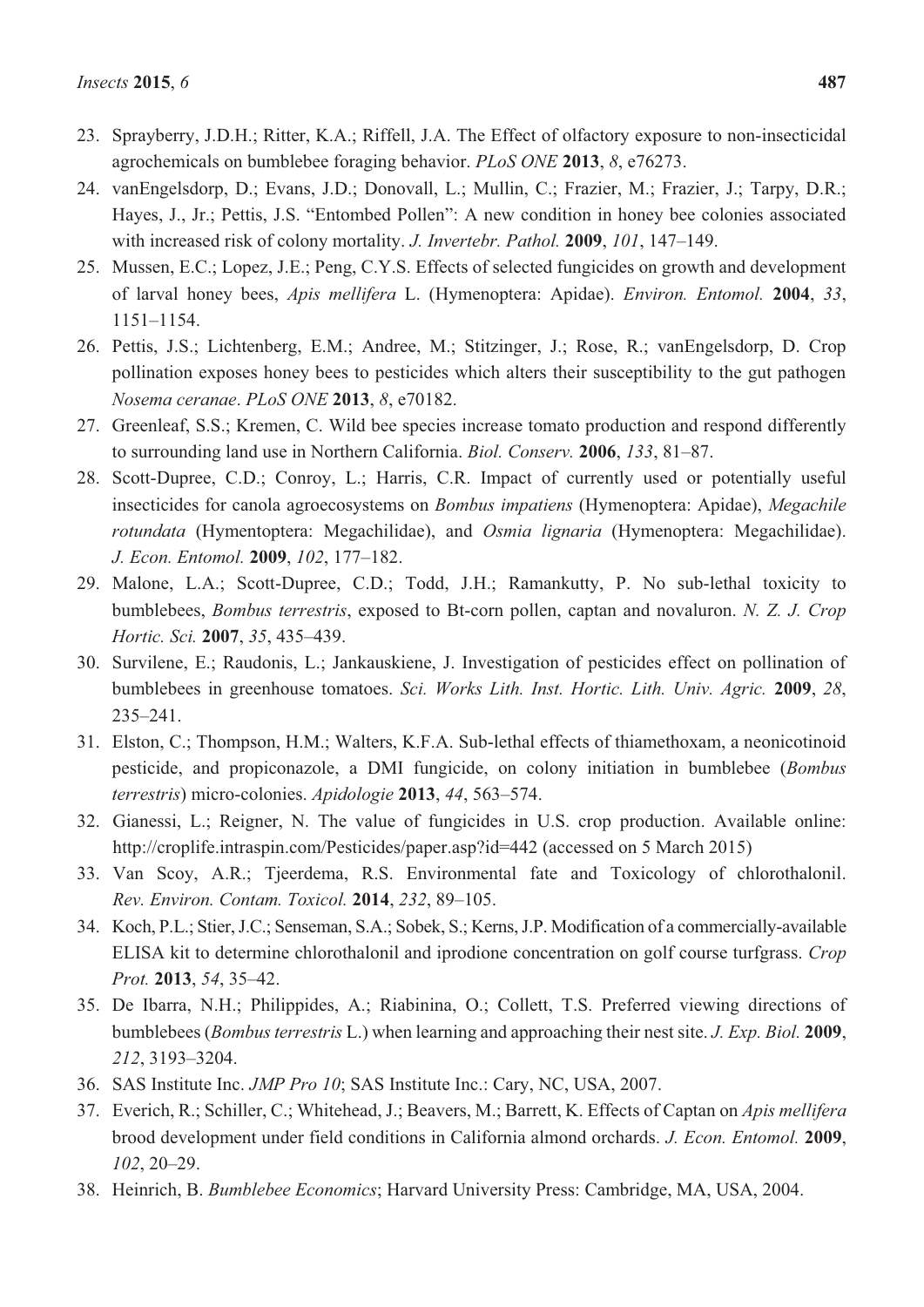- 24. vanEngelsdorp, D.; Evans, J.D.; Donovall, L.; Mullin, C.; Frazier, M.; Frazier, J.; Tarpy, D.R.; Hayes, J., Jr.; Pettis, J.S. "Entombed Pollen": A new condition in honey bee colonies associated with increased risk of colony mortality. *J. Invertebr. Pathol.* **2009**, *101*, 147–149.
- 25. Mussen, E.C.; Lopez, J.E.; Peng, C.Y.S. Effects of selected fungicides on growth and development of larval honey bees, *Apis mellifera* L. (Hymenoptera: Apidae). *Environ. Entomol.* **2004**, *33*, 1151–1154.
- 26. Pettis, J.S.; Lichtenberg, E.M.; Andree, M.; Stitzinger, J.; Rose, R.; vanEngelsdorp, D. Crop pollination exposes honey bees to pesticides which alters their susceptibility to the gut pathogen *Nosema ceranae*. *PLoS ONE* **2013**, *8*, e70182.
- 27. Greenleaf, S.S.; Kremen, C. Wild bee species increase tomato production and respond differently to surrounding land use in Northern California. *Biol. Conserv.* **2006**, *133*, 81–87.
- 28. Scott-Dupree, C.D.; Conroy, L.; Harris, C.R. Impact of currently used or potentially useful insecticides for canola agroecosystems on *Bombus impatiens* (Hymenoptera: Apidae), *Megachile rotundata* (Hymentoptera: Megachilidae), and *Osmia lignaria* (Hymenoptera: Megachilidae). *J. Econ. Entomol.* **2009**, *102*, 177–182.
- 29. Malone, L.A.; Scott-Dupree, C.D.; Todd, J.H.; Ramankutty, P. No sub-lethal toxicity to bumblebees, *Bombus terrestris*, exposed to Bt-corn pollen, captan and novaluron. *N. Z. J. Crop Hortic. Sci.* **2007**, *35*, 435–439.
- 30. Survilene, E.; Raudonis, L.; Jankauskiene, J. Investigation of pesticides effect on pollination of bumblebees in greenhouse tomatoes. *Sci. Works Lith. Inst. Hortic. Lith. Univ. Agric.* **2009**, *28*, 235–241.
- 31. Elston, C.; Thompson, H.M.; Walters, K.F.A. Sub-lethal effects of thiamethoxam, a neonicotinoid pesticide, and propiconazole, a DMI fungicide, on colony initiation in bumblebee (*Bombus terrestris*) micro-colonies. *Apidologie* **2013**, *44*, 563–574.
- 32. Gianessi, L.; Reigner, N. The value of fungicides in U.S. crop production. Available online: http://croplife.intraspin.com/Pesticides/paper.asp?id=442 (accessed on 5 March 2015)
- 33. Van Scoy, A.R.; Tjeerdema, R.S. Environmental fate and Toxicology of chlorothalonil. *Rev. Environ. Contam. Toxicol.* **2014**, *232*, 89–105.
- 34. Koch, P.L.; Stier, J.C.; Senseman, S.A.; Sobek, S.; Kerns, J.P. Modification of a commercially-available ELISA kit to determine chlorothalonil and iprodione concentration on golf course turfgrass. *Crop Prot.* **2013**, *54*, 35–42.
- 35. De Ibarra, N.H.; Philippides, A.; Riabinina, O.; Collett, T.S. Preferred viewing directions of bumblebees (*Bombus terrestris* L.) when learning and approaching their nest site. *J. Exp. Biol.* **2009**, *212*, 3193–3204.
- 36. SAS Institute Inc. *JMP Pro 10*; SAS Institute Inc.: Cary, NC, USA, 2007.
- 37. Everich, R.; Schiller, C.; Whitehead, J.; Beavers, M.; Barrett, K. Effects of Captan on *Apis mellifera* brood development under field conditions in California almond orchards. *J. Econ. Entomol.* **2009**, *102*, 20–29.
- 38. Heinrich, B. *Bumblebee Economics*; Harvard University Press: Cambridge, MA, USA, 2004.